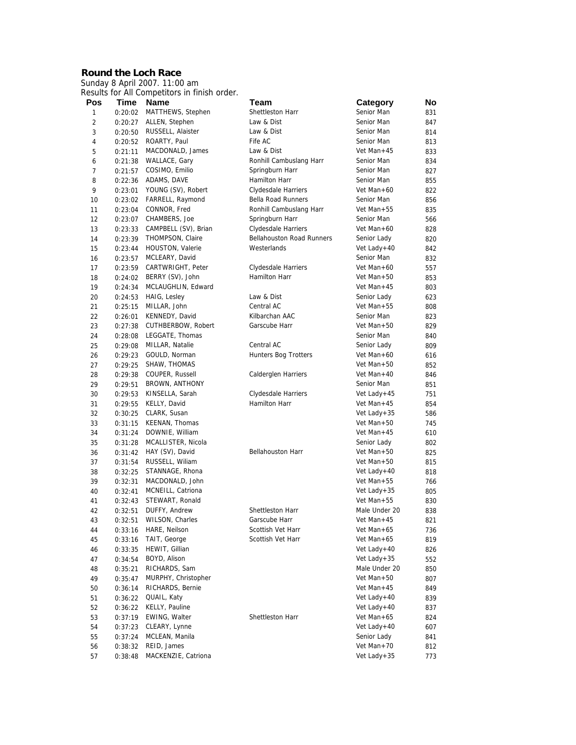## **Round the Loch Race**

Sunday 8 April 2007. 11:00 am Results for All Competitors in finish order.

| Pos            | Time               | Name                             | Team                                     | <b>Category</b>                | No         |
|----------------|--------------------|----------------------------------|------------------------------------------|--------------------------------|------------|
| 1              | 0:20:02            | MATTHEWS, Stephen                | Shettleston Harr                         | Senior Man                     | 831        |
| $\overline{2}$ | 0:20:27            | ALLEN, Stephen                   | Law & Dist                               | Senior Man                     | 847        |
| 3              | 0:20:50            | RUSSELL, Alaister                | Law & Dist                               | Senior Man                     | 814        |
| $\sqrt{4}$     | 0:20:52            | ROARTY, Paul                     | Fife AC                                  | Senior Man                     | 813        |
| 5              | 0:21:11            | MACDONALD, James                 | Law & Dist                               | Vet Man + $45$                 | 833        |
| 6              | 0:21:38            | WALLACE, Gary                    | Ronhill Cambuslang Harr                  | Senior Man                     | 834        |
| $\overline{7}$ | 0:21:57            | COSIMO, Emilio                   | Springburn Harr                          | Senior Man                     | 827        |
| 8              | 0:22:36            | ADAMS, DAVE                      | Hamilton Harr                            | Senior Man                     | 855        |
| 9              | 0:23:01            | YOUNG (SV), Robert               | Clydesdale Harriers                      | Vet Man+60                     | 822        |
| 10             | 0:23:02            | FARRELL, Raymond                 | <b>Bella Road Runners</b>                | Senior Man                     | 856        |
| 11             | 0:23:04            | CONNOR, Fred                     | Ronhill Cambuslang Harr                  | Vet Man+55                     | 835        |
| 12             | 0:23:07            | CHAMBERS, Joe                    | Springburn Harr                          | Senior Man                     | 566        |
| 13             | 0:23:33            | CAMPBELL (SV), Brian             | Clydesdale Harriers                      | Vet Man+60                     | 828        |
| 14             | 0:23:39            | THOMPSON, Claire                 | Bellahouston Road Runners                | Senior Lady                    | 820        |
| 15             | 0:23:44            | HOUSTON, Valerie                 | Westerlands                              | Vet Lady+40                    | 842        |
| 16             | 0:23:57            | MCLEARY, David                   |                                          | Senior Man                     | 832        |
| 17             | 0:23:59            | CARTWRIGHT, Peter                | Clydesdale Harriers                      | Vet Man+60                     | 557        |
| 18             | 0:24:02            | BERRY (SV), John                 | Hamilton Harr                            | Vet Man+50                     | 853        |
| 19             | 0:24:34            | MCLAUGHLIN, Edward               |                                          | Vet Man+45                     | 803        |
| 20             | 0:24:53            | HAIG, Lesley                     | Law & Dist                               | Senior Lady                    | 623        |
| 21             | 0:25:15            | MILLAR, John                     | Central AC                               | Vet Man $+55$                  | 808        |
| 22             | 0:26:01            | KENNEDY, David                   | Kilbarchan AAC                           | Senior Man                     | 823        |
| 23             | 0:27:38            | CUTHBERBOW, Robert               | Garscube Harr                            | Vet Man+50                     | 829        |
| 24             | 0:28:08            | LEGGATE, Thomas                  |                                          | Senior Man                     | 840        |
| 25             | 0:29:08            | MILLAR, Natalie                  | Central AC                               | Senior Lady                    | 809        |
| 26             | 0:29:23            | GOULD, Norman                    | <b>Hunters Bog Trotters</b>              | Vet Man+60                     | 616        |
| 27             | 0:29:25            | SHAW, THOMAS                     |                                          | Vet Man+50                     | 852        |
| 28             | 0:29:38            | COUPER, Russell                  | Calderglen Harriers                      | Vet Man+40                     | 846        |
| 29             | 0:29:51            | BROWN, ANTHONY                   |                                          | Senior Man                     | 851        |
| 30             | 0:29:53            | KINSELLA, Sarah                  | Clydesdale Harriers                      | Vet Lady+45                    | 751        |
| 31             | 0:29:55            | KELLY, David                     | Hamilton Harr                            | Vet Man+45                     | 854        |
| 32             | 0:30:25            | CLARK, Susan                     |                                          | Vet Lady+35                    | 586        |
| 33             | 0:31:15            | KEENAN, Thomas                   |                                          | Vet Man+50                     | 745        |
| 34             | 0:31:24            | DOWNIE, William                  |                                          | Vet Man+45                     | 610        |
| 35             | 0:31:28            | MCALLISTER, Nicola               |                                          | Senior Lady                    | 802        |
| 36             | 0:31:42            | HAY (SV), David                  | <b>Bellahouston Harr</b>                 | Vet Man+50                     | 825        |
| 37             | 0:31:54            | RUSSELL, Wiliam                  |                                          | Vet Man+50                     | 815        |
| 38             | 0:32:25            | STANNAGE, Rhona                  |                                          | Vet Lady+40                    | 818        |
| 39             | 0:32:31            | MACDONALD, John                  |                                          | Vet Man+55                     | 766        |
| 40             | 0:32:41            | MCNEILL, Catriona                |                                          | Vet Lady+35                    | 805        |
| 41             | 0:32:43            | STEWART, Ronald                  |                                          | Vet Man $+55$<br>Male Under 20 | 830        |
| 42             | 0:32:51            | DUFFY, Andrew                    | <b>Shettleston Harr</b><br>Garscube Harr | Vet Man+45                     | 838        |
| 43             | 0:32:51            | WILSON, Charles<br>HARE, Neilson | Scottish Vet Harr                        | Vet Man+65                     | 821        |
| 44<br>45       | 0:33:16<br>0:33:16 | TAIT, George                     | Scottish Vet Harr                        | Vet Man+65                     | 736<br>819 |
| 46             | 0:33:35            | HEWIT, Gillian                   |                                          | Vet Lady+40                    |            |
| 47             |                    | BOYD, Alison                     |                                          | Vet Lady + $35$                | 826<br>552 |
| 48             | 0:34:54<br>0:35:21 | RICHARDS, Sam                    |                                          | Male Under 20                  | 850        |
| 49             | 0:35:47            | MURPHY, Christopher              |                                          | Vet Man+50                     | 807        |
| 50             | 0:36:14            | RICHARDS, Bernie                 |                                          | Vet Man+45                     |            |
| 51             | 0:36:22            | QUAIL, Katy                      |                                          | Vet Lady+40                    | 849<br>839 |
| 52             | 0:36:22            | KELLY, Pauline                   |                                          | Vet Lady+40                    | 837        |
| 53             | 0:37:19            | EWING, Walter                    | Shettleston Harr                         | Vet Man+65                     | 824        |
| 54             | 0:37:23            | CLEARY, Lynne                    |                                          | Vet Lady+40                    | 607        |
| 55             | 0:37:24            | MCLEAN, Manila                   |                                          | Senior Lady                    | 841        |
| 56             | 0:38:32            | REID, James                      |                                          | Vet Man+70                     | 812        |
| 57             | 0:38:48            | MACKENZIE, Catriona              |                                          | Vet Lady+35                    | 773        |
|                |                    |                                  |                                          |                                |            |